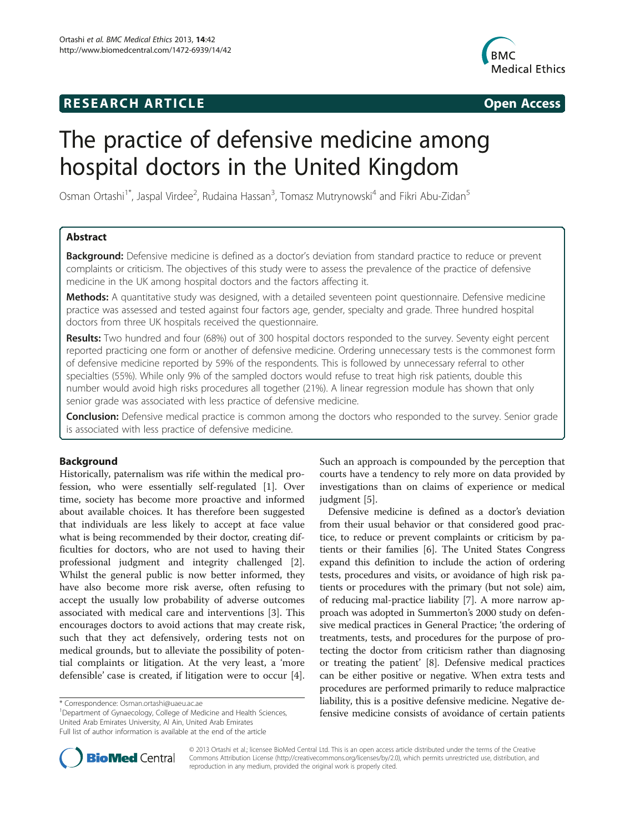## **RESEARCH ARTICLE Example 2014 CONSIDERING CONSIDERING CONSIDERING CONSIDERING CONSIDERING CONSIDERING CONSIDERING CONSIDERING CONSIDERING CONSIDERING CONSIDERING CONSIDERING CONSIDERING CONSIDERING CONSIDERING CONSIDE**



# The practice of defensive medicine among hospital doctors in the United Kingdom

Osman Ortashi<sup>1\*</sup>, Jaspal Virdee<sup>2</sup>, Rudaina Hassan<sup>3</sup>, Tomasz Mutrynowski<sup>4</sup> and Fikri Abu-Zidan<sup>5</sup>

## Abstract

Background: Defensive medicine is defined as a doctor's deviation from standard practice to reduce or prevent complaints or criticism. The objectives of this study were to assess the prevalence of the practice of defensive medicine in the UK among hospital doctors and the factors affecting it.

Methods: A quantitative study was designed, with a detailed seventeen point questionnaire. Defensive medicine practice was assessed and tested against four factors age, gender, specialty and grade. Three hundred hospital doctors from three UK hospitals received the questionnaire.

Results: Two hundred and four (68%) out of 300 hospital doctors responded to the survey. Seventy eight percent reported practicing one form or another of defensive medicine. Ordering unnecessary tests is the commonest form of defensive medicine reported by 59% of the respondents. This is followed by unnecessary referral to other specialties (55%). While only 9% of the sampled doctors would refuse to treat high risk patients, double this number would avoid high risks procedures all together (21%). A linear regression module has shown that only senior grade was associated with less practice of defensive medicine.

**Conclusion:** Defensive medical practice is common among the doctors who responded to the survey. Senior grade is associated with less practice of defensive medicine.

## Background

Historically, paternalism was rife within the medical profession, who were essentially self-regulated [[1\]](#page-5-0). Over time, society has become more proactive and informed about available choices. It has therefore been suggested that individuals are less likely to accept at face value what is being recommended by their doctor, creating difficulties for doctors, who are not used to having their professional judgment and integrity challenged [\[2](#page-5-0)]. Whilst the general public is now better informed, they have also become more risk averse, often refusing to accept the usually low probability of adverse outcomes associated with medical care and interventions [[3](#page-5-0)]. This encourages doctors to avoid actions that may create risk, such that they act defensively, ordering tests not on medical grounds, but to alleviate the possibility of potential complaints or litigation. At the very least, a 'more defensible' case is created, if litigation were to occur [\[4](#page-5-0)].

<sup>1</sup>Department of Gynaecology, College of Medicine and Health Sciences, United Arab Emirates University, Al Ain, United Arab Emirates Full list of author information is available at the end of the article

Such an approach is compounded by the perception that courts have a tendency to rely more on data provided by investigations than on claims of experience or medical judgment [[5\]](#page-5-0).

Defensive medicine is defined as a doctor's deviation from their usual behavior or that considered good practice, to reduce or prevent complaints or criticism by patients or their families [\[6](#page-5-0)]. The United States Congress expand this definition to include the action of ordering tests, procedures and visits, or avoidance of high risk patients or procedures with the primary (but not sole) aim, of reducing mal-practice liability [\[7](#page-5-0)]. A more narrow approach was adopted in Summerton's 2000 study on defensive medical practices in General Practice; 'the ordering of treatments, tests, and procedures for the purpose of protecting the doctor from criticism rather than diagnosing or treating the patient' [\[8\]](#page-5-0). Defensive medical practices can be either positive or negative. When extra tests and procedures are performed primarily to reduce malpractice liability, this is a positive defensive medicine. Negative defensive medicine consists of avoidance of certain patients



© 2013 Ortashi et al.; licensee BioMed Central Ltd. This is an open access article distributed under the terms of the Creative Commons Attribution License [\(http://creativecommons.org/licenses/by/2.0\)](http://creativecommons.org/licenses/by/2.0), which permits unrestricted use, distribution, and reproduction in any medium, provided the original work is properly cited.

<sup>\*</sup> Correspondence: [Osman.ortashi@uaeu.ac.ae](mailto:Osman.ortashi@uaeu.ac.ae) <sup>1</sup>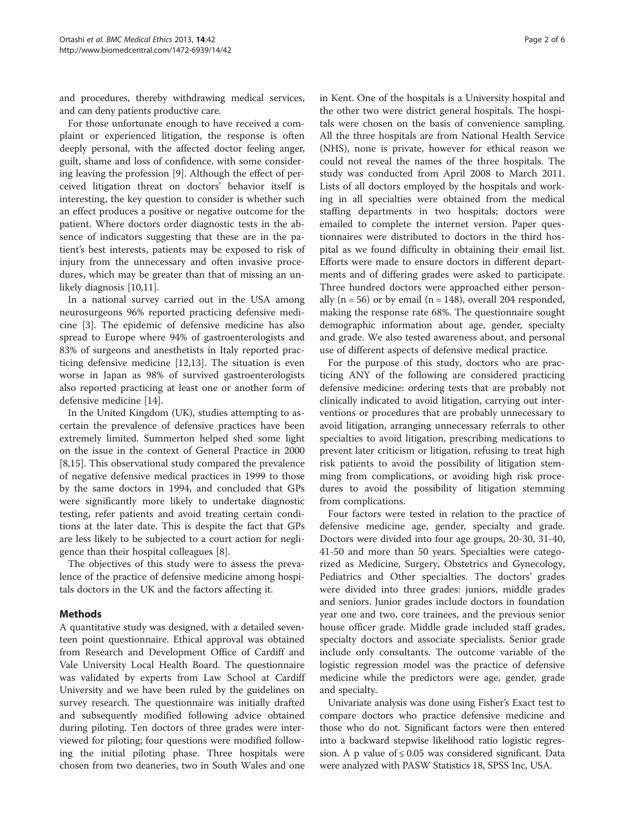and procedures, thereby withdrawing medical services, and can deny patients productive care.

For those unfortunate enough to have received a complaint or experienced litigation, the response is often deeply personal, with the affected doctor feeling anger, guilt, shame and loss of confidence, with some considering leaving the profession [[9](#page-5-0)]. Although the effect of perceived litigation threat on doctors' behavior itself is interesting, the key question to consider is whether such an effect produces a positive or negative outcome for the patient. Where doctors order diagnostic tests in the absence of indicators suggesting that these are in the patient's best interests, patients may be exposed to risk of injury from the unnecessary and often invasive procedures, which may be greater than that of missing an un-likely diagnosis [[10](#page-5-0),[11](#page-5-0)].

In a national survey carried out in the USA among neurosurgeons 96% reported practicing defensive medicine [\[3](#page-5-0)]. The epidemic of defensive medicine has also spread to Europe where 94% of gastroenterologists and 83% of surgeons and anesthetists in Italy reported practicing defensive medicine [[12,13\]](#page-5-0). The situation is even worse in Japan as 98% of survived gastroenterologists also reported practicing at least one or another form of defensive medicine [\[14](#page-5-0)].

In the United Kingdom (UK), studies attempting to ascertain the prevalence of defensive practices have been extremely limited. Summerton helped shed some light on the issue in the context of General Practice in 2000 [[8,15\]](#page-5-0). This observational study compared the prevalence of negative defensive medical practices in 1999 to those by the same doctors in 1994, and concluded that GPs were significantly more likely to undertake diagnostic testing, refer patients and avoid treating certain conditions at the later date. This is despite the fact that GPs are less likely to be subjected to a court action for negligence than their hospital colleagues [\[8\]](#page-5-0).

The objectives of this study were to assess the prevalence of the practice of defensive medicine among hospitals doctors in the UK and the factors affecting it.

## Methods

A quantitative study was designed, with a detailed seventeen point questionnaire. Ethical approval was obtained from Research and Development Office of Cardiff and Vale University Local Health Board. The questionnaire was validated by experts from Law School at Cardiff University and we have been ruled by the guidelines on survey research. The questionnaire was initially drafted and subsequently modified following advice obtained during piloting. Ten doctors of three grades were interviewed for piloting; four questions were modified following the initial piloting phase. Three hospitals were chosen from two deaneries, two in South Wales and one

in Kent. One of the hospitals is a University hospital and the other two were district general hospitals. The hospitals were chosen on the basis of convenience sampling. All the three hospitals are from National Health Service (NHS), none is private, however for ethical reason we could not reveal the names of the three hospitals. The study was conducted from April 2008 to March 2011. Lists of all doctors employed by the hospitals and working in all specialties were obtained from the medical staffing departments in two hospitals; doctors were emailed to complete the internet version. Paper questionnaires were distributed to doctors in the third hospital as we found difficulty in obtaining their email list. Efforts were made to ensure doctors in different departments and of differing grades were asked to participate. Three hundred doctors were approached either personally ( $n = 56$ ) or by email ( $n = 148$ ), overall 204 responded, making the response rate 68%. The questionnaire sought demographic information about age, gender, specialty and grade. We also tested awareness about, and personal use of different aspects of defensive medical practice.

For the purpose of this study, doctors who are practicing ANY of the following are considered practicing defensive medicine: ordering tests that are probably not clinically indicated to avoid litigation, carrying out interventions or procedures that are probably unnecessary to avoid litigation, arranging unnecessary referrals to other specialties to avoid litigation, prescribing medications to prevent later criticism or litigation, refusing to treat high risk patients to avoid the possibility of litigation stemming from complications, or avoiding high risk procedures to avoid the possibility of litigation stemming from complications.

Four factors were tested in relation to the practice of defensive medicine age, gender, specialty and grade. Doctors were divided into four age groups, 20-30, 31-40, 41-50 and more than 50 years. Specialties were categorized as Medicine, Surgery, Obstetrics and Gynecology, Pediatrics and Other specialties. The doctors' grades were divided into three grades: juniors, middle grades and seniors. Junior grades include doctors in foundation year one and two, core trainees, and the previous senior house officer grade. Middle grade included staff grades, specialty doctors and associate specialists. Senior grade include only consultants. The outcome variable of the logistic regression model was the practice of defensive medicine while the predictors were age, gender, grade and specialty.

Univariate analysis was done using Fisher's Exact test to compare doctors who practice defensive medicine and those who do not. Significant factors were then entered into a backward stepwise likelihood ratio logistic regression. A p value of  $\leq 0.05$  was considered significant. Data were analyzed with PASW Statistics 18, SPSS Inc, USA.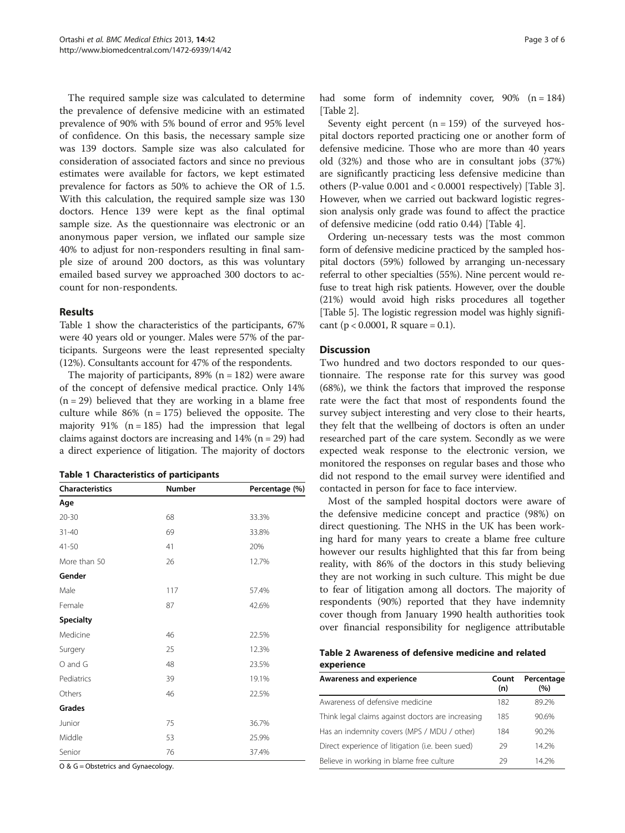The required sample size was calculated to determine the prevalence of defensive medicine with an estimated prevalence of 90% with 5% bound of error and 95% level of confidence. On this basis, the necessary sample size was 139 doctors. Sample size was also calculated for consideration of associated factors and since no previous estimates were available for factors, we kept estimated prevalence for factors as 50% to achieve the OR of 1.5. With this calculation, the required sample size was 130 doctors. Hence 139 were kept as the final optimal sample size. As the questionnaire was electronic or an anonymous paper version, we inflated our sample size 40% to adjust for non-responders resulting in final sample size of around 200 doctors, as this was voluntary emailed based survey we approached 300 doctors to account for non-respondents.

## Results

Table 1 show the characteristics of the participants, 67% were 40 years old or younger. Males were 57% of the participants. Surgeons were the least represented specialty (12%). Consultants account for 47% of the respondents.

The majority of participants,  $89\%$  (n = 182) were aware of the concept of defensive medical practice. Only 14%  $(n = 29)$  believed that they are working in a blame free culture while  $86\%$  (n = 175) believed the opposite. The majority  $91\%$  (n = 185) had the impression that legal claims against doctors are increasing and  $14%$  (n = 29) had a direct experience of litigation. The majority of doctors

|  | <b>Table 1 Characteristics of participants</b> |  |  |  |
|--|------------------------------------------------|--|--|--|
|--|------------------------------------------------|--|--|--|

| <b>Characteristics</b> | Number | Percentage (%) |
|------------------------|--------|----------------|
| Age                    |        |                |
| $20 - 30$              | 68     | 33.3%          |
| $31 - 40$              | 69     | 33.8%          |
| $41 - 50$              | 41     | 20%            |
| More than 50           | 26     | 12.7%          |
| Gender                 |        |                |
| Male                   | 117    | 57.4%          |
| Female                 | 87     | 42.6%          |
| <b>Specialty</b>       |        |                |
| Medicine               | 46     | 22.5%          |
| Surgery                | 25     | 12.3%          |
| O and G                | 48     | 23.5%          |
| Pediatrics             | 39     | 19.1%          |
| Others                 | 46     | 22.5%          |
| Grades                 |        |                |
| Junior                 | 75     | 36.7%          |
| Middle                 | 53     | 25.9%          |
| Senior                 | 76     | 37.4%          |

O & G = Obstetrics and Gynaecology.

had some form of indemnity cover,  $90\%$  (n = 184) [Table 2].

Seventy eight percent  $(n = 159)$  of the surveyed hospital doctors reported practicing one or another form of defensive medicine. Those who are more than 40 years old (32%) and those who are in consultant jobs (37%) are significantly practicing less defensive medicine than others (P-value 0.001 and < 0.0001 respectively) [Table [3](#page-3-0)]. However, when we carried out backward logistic regression analysis only grade was found to affect the practice of defensive medicine (odd ratio 0.44) [Table [4\]](#page-3-0).

Ordering un-necessary tests was the most common form of defensive medicine practiced by the sampled hospital doctors (59%) followed by arranging un-necessary referral to other specialties (55%). Nine percent would refuse to treat high risk patients. However, over the double (21%) would avoid high risks procedures all together [Table [5](#page-3-0)]. The logistic regression model was highly significant ( $p < 0.0001$ , R square = 0.1).

## **Discussion**

Two hundred and two doctors responded to our questionnaire. The response rate for this survey was good (68%), we think the factors that improved the response rate were the fact that most of respondents found the survey subject interesting and very close to their hearts, they felt that the wellbeing of doctors is often an under researched part of the care system. Secondly as we were expected weak response to the electronic version, we monitored the responses on regular bases and those who did not respond to the email survey were identified and contacted in person for face to face interview.

Most of the sampled hospital doctors were aware of the defensive medicine concept and practice (98%) on direct questioning. The NHS in the UK has been working hard for many years to create a blame free culture however our results highlighted that this far from being reality, with 86% of the doctors in this study believing they are not working in such culture. This might be due to fear of litigation among all doctors. The majority of respondents (90%) reported that they have indemnity cover though from January 1990 health authorities took over financial responsibility for negligence attributable

| Table 2 Awareness of defensive medicine and related |  |  |
|-----------------------------------------------------|--|--|
| experience                                          |  |  |

| Awareness and experience                          | Count<br>(n) | Percentage<br>(%) |
|---------------------------------------------------|--------------|-------------------|
| Awareness of defensive medicine                   | 182          | 89.2%             |
| Think legal claims against doctors are increasing | 185          | 90.6%             |
| Has an indemnity covers (MPS / MDU / other)       | 184          | 90.2%             |
| Direct experience of litigation (i.e. been sued)  | 29           | 14.2%             |
| Believe in working in blame free culture          | 29           | 14 2%             |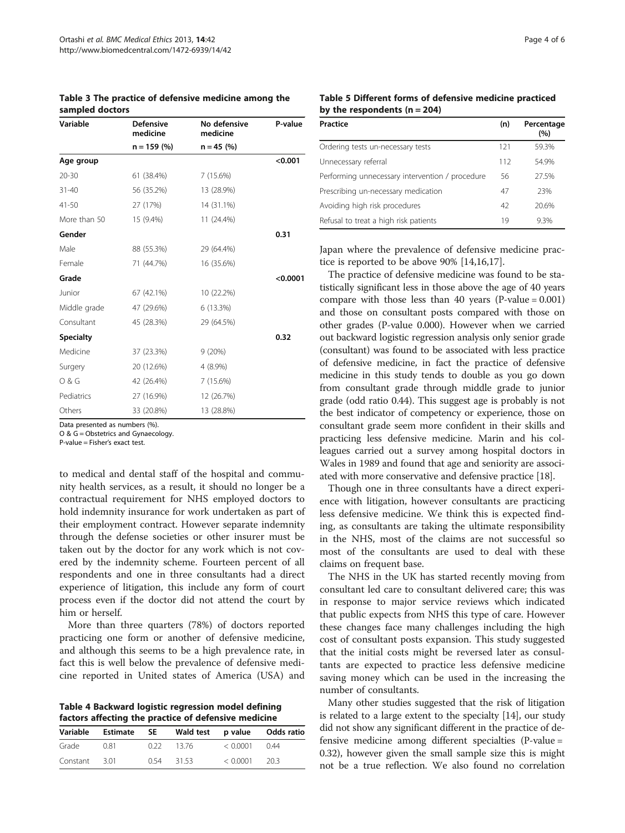<span id="page-3-0"></span>Table 3 The practice of defensive medicine among the sampled doctors

| Variable         | <b>Defensive</b><br>medicine | No defensive<br>medicine | P-value  |
|------------------|------------------------------|--------------------------|----------|
|                  | $n = 159$ (%)                | $n = 45$ (%)             |          |
| Age group        |                              |                          | < 0.001  |
| $20 - 30$        | 61 (38.4%)                   | 7 (15.6%)                |          |
| $31 - 40$        | 56 (35.2%)                   | 13 (28.9%)               |          |
| $41 - 50$        | 27 (17%)                     | 14 (31.1%)               |          |
| More than 50     | 15 (9.4%)                    | 11 (24.4%)               |          |
| Gender           |                              |                          | 0.31     |
| Male             | 88 (55.3%)                   | 29 (64.4%)               |          |
| Female           | 71 (44.7%)                   | 16 (35.6%)               |          |
| Grade            |                              |                          | < 0.0001 |
| Junior           | 67 (42.1%)                   | 10 (22.2%)               |          |
| Middle grade     | 47 (29.6%)                   | 6 (13.3%)                |          |
| Consultant       | 45 (28.3%)                   | 29 (64.5%)               |          |
| <b>Specialty</b> |                              |                          | 0.32     |
| Medicine         | 37 (23.3%)                   | 9(20%)                   |          |
| Surgery          | 20 (12.6%)                   | 4 (8.9%)                 |          |
| 0 & G            | 42 (26.4%)                   | 7(15.6%)                 |          |
| Pediatrics       | 27 (16.9%)                   | 12 (26.7%)               |          |
| Others           | 33 (20.8%)                   | 13 (28.8%)               |          |

Data presented as numbers (%).

O & G = Obstetrics and Gynaecology.

P-value = Fisher's exact test.

to medical and dental staff of the hospital and community health services, as a result, it should no longer be a contractual requirement for NHS employed doctors to hold indemnity insurance for work undertaken as part of their employment contract. However separate indemnity through the defense societies or other insurer must be taken out by the doctor for any work which is not covered by the indemnity scheme. Fourteen percent of all respondents and one in three consultants had a direct experience of litigation, this include any form of court process even if the doctor did not attend the court by him or herself.

More than three quarters (78%) of doctors reported practicing one form or another of defensive medicine, and although this seems to be a high prevalence rate, in fact this is well below the prevalence of defensive medicine reported in United states of America (USA) and

Table 4 Backward logistic regression model defining factors affecting the practice of defensive medicine

| Variable | Estimate | <b>SE</b> | Wald test p value |                 | Odds ratio |
|----------|----------|-----------|-------------------|-----------------|------------|
| Grade    | 0.81     | 0.22      | 13.76             | < 0.0001        | 044        |
| Constant | 301      | 0.54      | - 31.53           | $< 0.0001$ 20.3 |            |

Table 5 Different forms of defensive medicine practiced by the respondents  $(n = 204)$ 

| Practice                                        | (n) | Percentage<br>(%) |
|-------------------------------------------------|-----|-------------------|
| Ordering tests un-necessary tests               | 121 | 59.3%             |
| Unnecessary referral                            | 112 | 54.9%             |
| Performing unnecessary intervention / procedure | 56  | 27.5%             |
| Prescribing un-necessary medication             | 47  | 23%               |
| Avoiding high risk procedures                   | 42  | 20.6%             |
| Refusal to treat a high risk patients           | 19  | 9.3%              |

Japan where the prevalence of defensive medicine practice is reported to be above 90% [\[14,16,17\]](#page-5-0).

The practice of defensive medicine was found to be statistically significant less in those above the age of 40 years compare with those less than 40 years  $(P-value = 0.001)$ and those on consultant posts compared with those on other grades (P-value 0.000). However when we carried out backward logistic regression analysis only senior grade (consultant) was found to be associated with less practice of defensive medicine, in fact the practice of defensive medicine in this study tends to double as you go down from consultant grade through middle grade to junior grade (odd ratio 0.44). This suggest age is probably is not the best indicator of competency or experience, those on consultant grade seem more confident in their skills and practicing less defensive medicine. Marin and his colleagues carried out a survey among hospital doctors in Wales in 1989 and found that age and seniority are associated with more conservative and defensive practice [\[18\]](#page-5-0).

Though one in three consultants have a direct experience with litigation, however consultants are practicing less defensive medicine. We think this is expected finding, as consultants are taking the ultimate responsibility in the NHS, most of the claims are not successful so most of the consultants are used to deal with these claims on frequent base.

The NHS in the UK has started recently moving from consultant led care to consultant delivered care; this was in response to major service reviews which indicated that public expects from NHS this type of care. However these changes face many challenges including the high cost of consultant posts expansion. This study suggested that the initial costs might be reversed later as consultants are expected to practice less defensive medicine saving money which can be used in the increasing the number of consultants.

Many other studies suggested that the risk of litigation is related to a large extent to the specialty [[14\]](#page-5-0), our study did not show any significant different in the practice of defensive medicine among different specialties (P-value = 0.32), however given the small sample size this is might not be a true reflection. We also found no correlation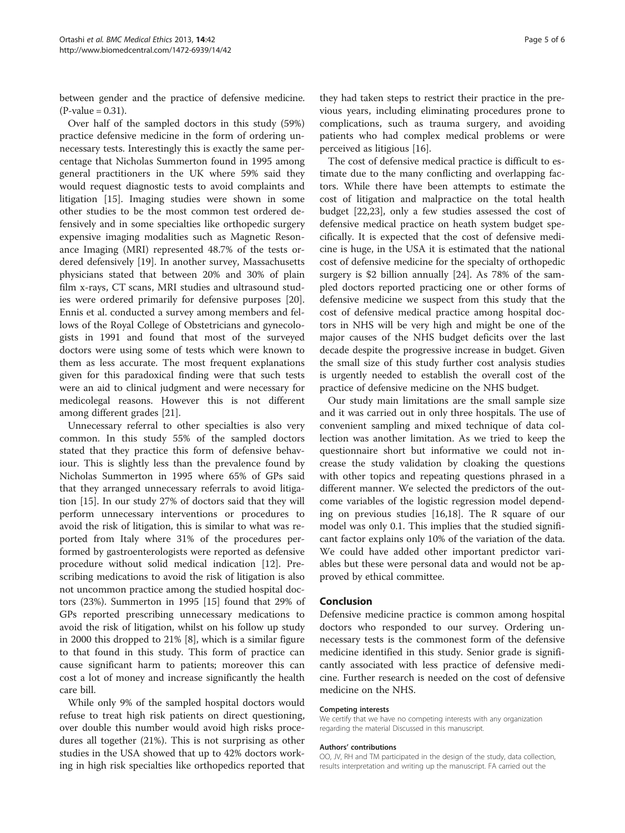between gender and the practice of defensive medicine.  $(P-value = 0.31)$ .

Over half of the sampled doctors in this study (59%) practice defensive medicine in the form of ordering unnecessary tests. Interestingly this is exactly the same percentage that Nicholas Summerton found in 1995 among general practitioners in the UK where 59% said they would request diagnostic tests to avoid complaints and litigation [\[15\]](#page-5-0). Imaging studies were shown in some other studies to be the most common test ordered defensively and in some specialties like orthopedic surgery expensive imaging modalities such as Magnetic Resonance Imaging (MRI) represented 48.7% of the tests ordered defensively [\[19\]](#page-5-0). In another survey, Massachusetts physicians stated that between 20% and 30% of plain film x-rays, CT scans, MRI studies and ultrasound studies were ordered primarily for defensive purposes [\[20](#page-5-0)]. Ennis et al. conducted a survey among members and fellows of the Royal College of Obstetricians and gynecologists in 1991 and found that most of the surveyed doctors were using some of tests which were known to them as less accurate. The most frequent explanations given for this paradoxical finding were that such tests were an aid to clinical judgment and were necessary for medicolegal reasons. However this is not different among different grades [\[21](#page-5-0)].

Unnecessary referral to other specialties is also very common. In this study 55% of the sampled doctors stated that they practice this form of defensive behaviour. This is slightly less than the prevalence found by Nicholas Summerton in 1995 where 65% of GPs said that they arranged unnecessary referrals to avoid litigation [\[15](#page-5-0)]. In our study 27% of doctors said that they will perform unnecessary interventions or procedures to avoid the risk of litigation, this is similar to what was reported from Italy where 31% of the procedures performed by gastroenterologists were reported as defensive procedure without solid medical indication [[12](#page-5-0)]. Prescribing medications to avoid the risk of litigation is also not uncommon practice among the studied hospital doctors (23%). Summerton in 1995 [[15\]](#page-5-0) found that 29% of GPs reported prescribing unnecessary medications to avoid the risk of litigation, whilst on his follow up study in 2000 this dropped to 21% [\[8\]](#page-5-0), which is a similar figure to that found in this study. This form of practice can cause significant harm to patients; moreover this can cost a lot of money and increase significantly the health care bill.

While only 9% of the sampled hospital doctors would refuse to treat high risk patients on direct questioning, over double this number would avoid high risks procedures all together (21%). This is not surprising as other studies in the USA showed that up to 42% doctors working in high risk specialties like orthopedics reported that

they had taken steps to restrict their practice in the previous years, including eliminating procedures prone to complications, such as trauma surgery, and avoiding patients who had complex medical problems or were perceived as litigious [\[16\]](#page-5-0).

The cost of defensive medical practice is difficult to estimate due to the many conflicting and overlapping factors. While there have been attempts to estimate the cost of litigation and malpractice on the total health budget [\[22,23](#page-5-0)], only a few studies assessed the cost of defensive medical practice on heath system budget specifically. It is expected that the cost of defensive medicine is huge, in the USA it is estimated that the national cost of defensive medicine for the specialty of orthopedic surgery is \$2 billion annually [[24\]](#page-5-0). As 78% of the sampled doctors reported practicing one or other forms of defensive medicine we suspect from this study that the cost of defensive medical practice among hospital doctors in NHS will be very high and might be one of the major causes of the NHS budget deficits over the last decade despite the progressive increase in budget. Given the small size of this study further cost analysis studies is urgently needed to establish the overall cost of the practice of defensive medicine on the NHS budget.

Our study main limitations are the small sample size and it was carried out in only three hospitals. The use of convenient sampling and mixed technique of data collection was another limitation. As we tried to keep the questionnaire short but informative we could not increase the study validation by cloaking the questions with other topics and repeating questions phrased in a different manner. We selected the predictors of the outcome variables of the logistic regression model depending on previous studies [[16](#page-5-0),[18](#page-5-0)]. The R square of our model was only 0.1. This implies that the studied significant factor explains only 10% of the variation of the data. We could have added other important predictor variables but these were personal data and would not be approved by ethical committee.

## Conclusion

Defensive medicine practice is common among hospital doctors who responded to our survey. Ordering unnecessary tests is the commonest form of the defensive medicine identified in this study. Senior grade is significantly associated with less practice of defensive medicine. Further research is needed on the cost of defensive medicine on the NHS.

#### Competing interests

We certify that we have no competing interests with any organization regarding the material Discussed in this manuscript.

#### Authors' contributions

OO, JV, RH and TM participated in the design of the study, data collection, results interpretation and writing up the manuscript. FA carried out the